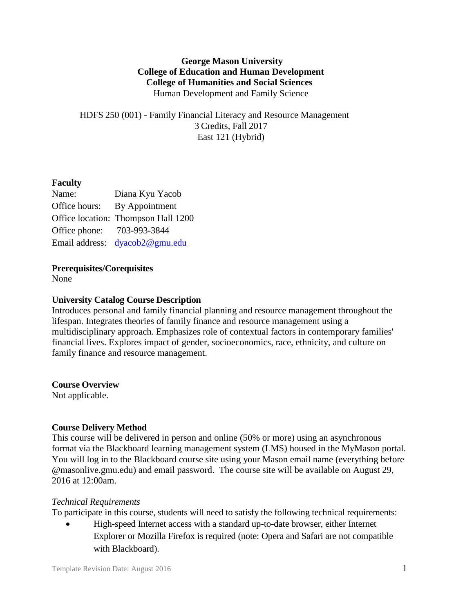## **George Mason University College of Education and Human Development College of Humanities and Social Sciences** Human Development and Family Science

HDFS 250 (001) - Family Financial Literacy and Resource Management 3 Credits, Fall 2017 East 121 (Hybrid)

# **Faculty**

| Name:          | Diana Kyu Yacob                     |
|----------------|-------------------------------------|
| Office hours:  | By Appointment                      |
|                | Office location: Thompson Hall 1200 |
| Office phone:  | 703-993-3844                        |
| Email address: | dyacob2@gmu.edu                     |

## **Prerequisites/Corequisites**

None

## **University Catalog Course Description**

Introduces personal and family financial planning and resource management throughout the lifespan. Integrates theories of family finance and resource management using a multidisciplinary approach. Emphasizes role of contextual factors in contemporary families' financial lives. Explores impact of gender, socioeconomics, race, ethnicity, and culture on family finance and resource management.

#### **Course Overview**

Not applicable.

## **Course Delivery Method**

This course will be delivered in person and online (50% or more) using an asynchronous format via the Blackboard learning management system (LMS) housed in the MyMason portal. You will log in to the Blackboard course site using your Mason email name (everything before @masonlive.gmu.edu) and email password. The course site will be available on August 29, 2016 at 12:00am.

#### *Technical Requirements*

To participate in this course, students will need to satisfy the following technical requirements:

 High-speed Internet access with a standard up-to-date browser, either Internet Explorer or Mozilla Firefox is required (note: Opera and Safari are not compatible with Blackboard).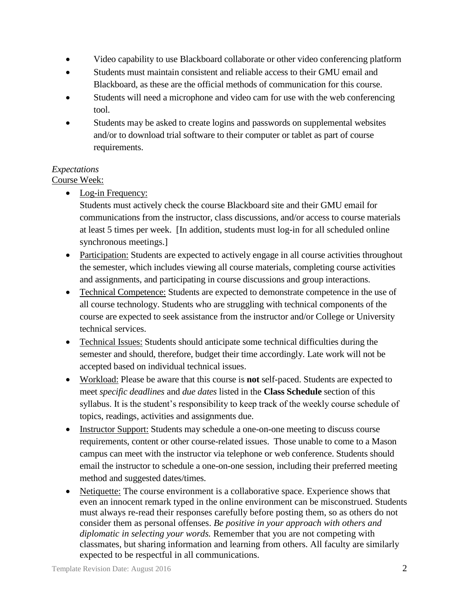- Video capability to use Blackboard collaborate or other video conferencing platform
- Students must maintain consistent and reliable access to their GMU email and Blackboard, as these are the official methods of communication for this course.
- Students will need a microphone and video cam for use with the web conferencing tool.
- Students may be asked to create logins and passwords on supplemental websites and/or to download trial software to their computer or tablet as part of course requirements.

# *Expectations*

## Course Week:

• Log-in Frequency:

Students must actively check the course Blackboard site and their GMU email for communications from the instructor, class discussions, and/or access to course materials at least 5 times per week. [In addition, students must log-in for all scheduled online synchronous meetings.]

- Participation: Students are expected to actively engage in all course activities throughout the semester, which includes viewing all course materials, completing course activities and assignments, and participating in course discussions and group interactions.
- Technical Competence: Students are expected to demonstrate competence in the use of all course technology. Students who are struggling with technical components of the course are expected to seek assistance from the instructor and/or College or University technical services.
- Technical Issues: Students should anticipate some technical difficulties during the semester and should, therefore, budget their time accordingly. Late work will not be accepted based on individual technical issues.
- Workload: Please be aware that this course is **not** self-paced. Students are expected to meet *specific deadlines* and *due dates* listed in the **Class Schedule** section of this syllabus. It is the student's responsibility to keep track of the weekly course schedule of topics, readings, activities and assignments due.
- Instructor Support: Students may schedule a one-on-one meeting to discuss course requirements, content or other course-related issues. Those unable to come to a Mason campus can meet with the instructor via telephone or web conference. Students should email the instructor to schedule a one-on-one session, including their preferred meeting method and suggested dates/times.
- Netiquette: The course environment is a collaborative space. Experience shows that even an innocent remark typed in the online environment can be misconstrued. Students must always re-read their responses carefully before posting them, so as others do not consider them as personal offenses. *Be positive in your approach with others and diplomatic in selecting your words.* Remember that you are not competing with classmates, but sharing information and learning from others. All faculty are similarly expected to be respectful in all communications.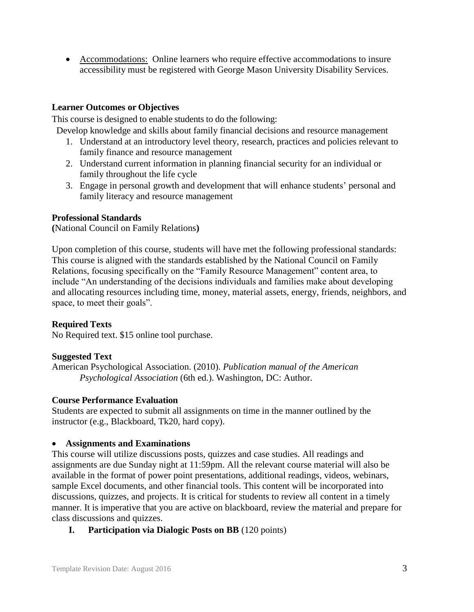• Accommodations: Online learners who require effective accommodations to insure accessibility must be registered with George Mason University Disability Services.

## **Learner Outcomes or Objectives**

This course is designed to enable students to do the following:

Develop knowledge and skills about family financial decisions and resource management

- 1. Understand at an introductory level theory, research, practices and policies relevant to family finance and resource management
- 2. Understand current information in planning financial security for an individual or family throughout the life cycle
- 3. Engage in personal growth and development that will enhance students' personal and family literacy and resource management

#### **Professional Standards**

**(**National Council on Family Relations**)**

Upon completion of this course, students will have met the following professional standards: This course is aligned with the standards established by the National Council on Family Relations, focusing specifically on the "Family Resource Management" content area, to include "An understanding of the decisions individuals and families make about developing and allocating resources including time, money, material assets, energy, friends, neighbors, and space, to meet their goals".

## **Required Texts**

No Required text. \$15 online tool purchase.

## **Suggested Text**

American Psychological Association. (2010). *Publication manual of the American Psychological Association* (6th ed.). Washington, DC: Author.

#### **Course Performance Evaluation**

Students are expected to submit all assignments on time in the manner outlined by the instructor (e.g., Blackboard, Tk20, hard copy).

## **Assignments and Examinations**

This course will utilize discussions posts, quizzes and case studies. All readings and assignments are due Sunday night at 11:59pm. All the relevant course material will also be available in the format of power point presentations, additional readings, videos, webinars, sample Excel documents, and other financial tools. This content will be incorporated into discussions, quizzes, and projects. It is critical for students to review all content in a timely manner. It is imperative that you are active on blackboard, review the material and prepare for class discussions and quizzes.

## **I. Participation via Dialogic Posts on BB** (120 points)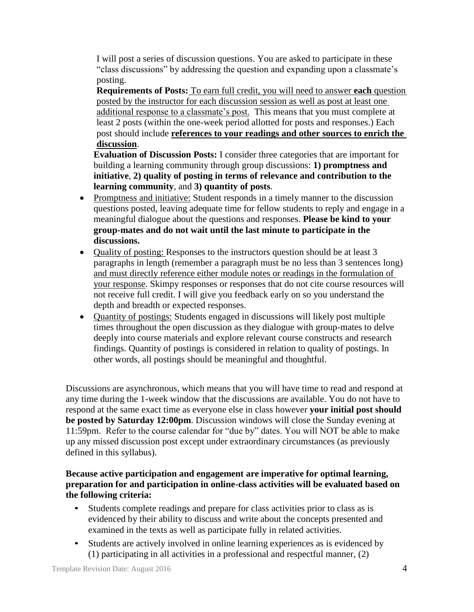I will post a series of discussion questions. You are asked to participate in these "class discussions" by addressing the question and expanding upon a classmate's posting.

**Requirements of Posts:** To earn full credit, you will need to answer **each** question posted by the instructor for each discussion session as well as post at least one additional response to a classmate's post. This means that you must complete at least 2 posts (within the one-week period allotted for posts and responses.) Each post should include **references to your readings and other sources to enrich the discussion**.

**Evaluation of Discussion Posts:** I consider three categories that are important for building a learning community through group discussions: **1) promptness and initiative**, **2) quality of posting in terms of relevance and contribution to the learning community**, and **3) quantity of posts**.

- Promptness and initiative: Student responds in a timely manner to the discussion questions posted, leaving adequate time for fellow students to reply and engage in a meaningful dialogue about the questions and responses. **Please be kind to your group-mates and do not wait until the last minute to participate in the discussions.**
- Quality of posting: Responses to the instructors question should be at least 3 paragraphs in length (remember a paragraph must be no less than 3 sentences long) and must directly reference either module notes or readings in the formulation of your response. Skimpy responses or responses that do not cite course resources will not receive full credit. I will give you feedback early on so you understand the depth and breadth or expected responses.
- Quantity of postings: Students engaged in discussions will likely post multiple times throughout the open discussion as they dialogue with group-mates to delve deeply into course materials and explore relevant course constructs and research findings. Quantity of postings is considered in relation to quality of postings. In other words, all postings should be meaningful and thoughtful.

Discussions are asynchronous, which means that you will have time to read and respond at any time during the 1-week window that the discussions are available. You do not have to respond at the same exact time as everyone else in class however **your initial post should be posted by Saturday 12:00pm**. Discussion windows will close the Sunday evening at 11:59pm. Refer to the course calendar for "due by" dates. You will NOT be able to make up any missed discussion post except under extraordinary circumstances (as previously defined in this syllabus).

### **Because active participation and engagement are imperative for optimal learning, preparation for and participation in online-class activities will be evaluated based on the following criteria:**

- Students complete readings and prepare for class activities prior to class as is evidenced by their ability to discuss and write about the concepts presented and examined in the texts as well as participate fully in related activities.
- Students are actively involved in online learning experiences as is evidenced by (1) participating in all activities in a professional and respectful manner, (2)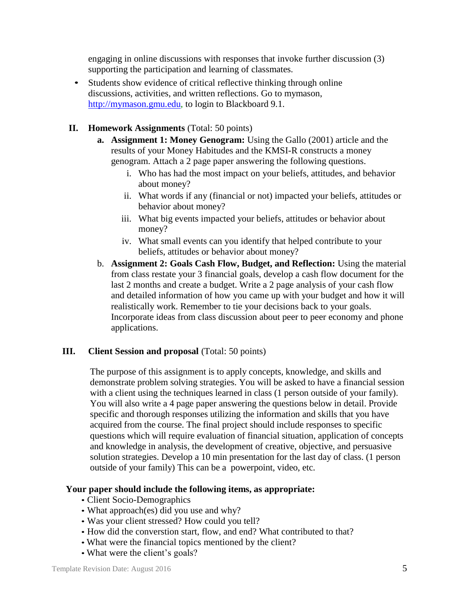engaging in online discussions with responses that invoke further discussion (3) supporting the participation and learning of classmates.

• Students show evidence of critical reflective thinking through online discussions, activities, and written reflections. Go to mymason, [http://mymason.gmu.edu, t](http://mymason.gmu.edu/)o login to Blackboard 9.1.

### **II. Homework Assignments** (Total: 50 points)

- **a. Assignment 1: Money Genogram:** Using the Gallo (2001) article and the results of your Money Habitudes and the KMSI-R constructs a money genogram. Attach a 2 page paper answering the following questions.
	- i. Who has had the most impact on your beliefs, attitudes, and behavior about money?
	- ii. What words if any (financial or not) impacted your beliefs, attitudes or behavior about money?
	- iii. What big events impacted your beliefs, attitudes or behavior about money?
	- iv. What small events can you identify that helped contribute to your beliefs, attitudes or behavior about money?
- b. **Assignment 2: Goals Cash Flow, Budget, and Reflection:** Using the material from class restate your 3 financial goals, develop a cash flow document for the last 2 months and create a budget. Write a 2 page analysis of your cash flow and detailed information of how you came up with your budget and how it will realistically work. Remember to tie your decisions back to your goals. Incorporate ideas from class discussion about peer to peer economy and phone applications.

#### **III. Client Session and proposal** (Total: 50 points)

The purpose of this assignment is to apply concepts, knowledge, and skills and demonstrate problem solving strategies. You will be asked to have a financial session with a client using the techniques learned in class (1 person outside of your family). You will also write a 4 page paper answering the questions below in detail. Provide specific and thorough responses utilizing the information and skills that you have acquired from the course. The final project should include responses to specific questions which will require evaluation of financial situation, application of concepts and knowledge in analysis, the development of creative, objective, and persuasive solution strategies. Develop a 10 min presentation for the last day of class. (1 person outside of your family) This can be a powerpoint, video, etc.

#### **Your paper should include the following items, as appropriate:**

- Client Socio-Demographics
- What approach(es) did you use and why?
- Was your client stressed? How could you tell?
- How did the converstion start, flow, and end? What contributed to that?
- What were the financial topics mentioned by the client?
- What were the client's goals?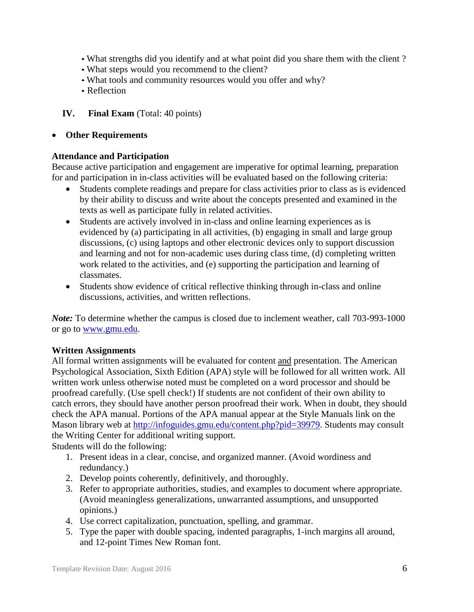- What strengths did you identify and at what point did you share them with the client ?
- What steps would you recommend to the client?
- What tools and community resources would you offer and why?
- Reflection

### **IV. Final Exam** (Total: 40 points)

### **Other Requirements**

### **Attendance and Participation**

Because active participation and engagement are imperative for optimal learning, preparation for and participation in in-class activities will be evaluated based on the following criteria:

- Students complete readings and prepare for class activities prior to class as is evidenced by their ability to discuss and write about the concepts presented and examined in the texts as well as participate fully in related activities.
- Students are actively involved in in-class and online learning experiences as is evidenced by (a) participating in all activities, (b) engaging in small and large group discussions, (c) using laptops and other electronic devices only to support discussion and learning and not for non-academic uses during class time, (d) completing written work related to the activities, and (e) supporting the participation and learning of classmates.
- Students show evidence of critical reflective thinking through in-class and online discussions, activities, and written reflections.

*Note:* To determine whether the campus is closed due to inclement weather, call 703-993-1000 or go to [www.gmu.edu.](http://www.gmu.edu/)

## **Written Assignments**

All formal written assignments will be evaluated for content and presentation. The American Psychological Association, Sixth Edition (APA) style will be followed for all written work. All written work unless otherwise noted must be completed on a word processor and should be proofread carefully. (Use spell check!) If students are not confident of their own ability to catch errors, they should have another person proofread their work. When in doubt, they should check the APA manual. Portions of the APA manual appear at the Style Manuals link on the Mason library web at [http://infoguides.gmu.edu/content.php?pid=39979.](http://infoguides.gmu.edu/content.php?pid=39979) Students may consult the Writing Center for additional writing support.

Students will do the following:

- 1. Present ideas in a clear, concise, and organized manner. (Avoid wordiness and redundancy.)
- 2. Develop points coherently, definitively, and thoroughly.
- 3. Refer to appropriate authorities, studies, and examples to document where appropriate. (Avoid meaningless generalizations, unwarranted assumptions, and unsupported opinions.)
- 4. Use correct capitalization, punctuation, spelling, and grammar.
- 5. Type the paper with double spacing, indented paragraphs, 1-inch margins all around, and 12-point Times New Roman font.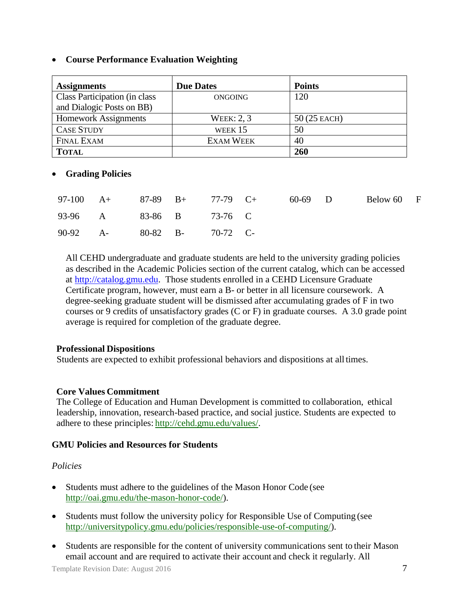### **Course Performance Evaluation Weighting**

| <b>Assignments</b>            | <b>Due Dates</b>  | <b>Points</b> |
|-------------------------------|-------------------|---------------|
| Class Participation (in class | ONGOING           | 120           |
| and Dialogic Posts on BB)     |                   |               |
| <b>Homework Assignments</b>   | <b>WEEK: 2, 3</b> | $50(25$ EACH) |
| <b>CASE STUDY</b>             | WEEK 15           | 50            |
| <b>FINAL EXAM</b>             | <b>EXAM WEEK</b>  | 40            |
| <b>TOTAL</b>                  |                   | 260           |

### **Grading Policies**

|                            |  | 97-100 A+ 87-89 B+ 77-79 C+ 60-69 D |  | Below 60 F |  |
|----------------------------|--|-------------------------------------|--|------------|--|
| 93-96 A 83-86 B 73-76 C    |  |                                     |  |            |  |
| 90-92 A- 80-82 B- 70-72 C- |  |                                     |  |            |  |

All CEHD undergraduate and graduate students are held to the university grading policies as described in the Academic Policies section of the current catalog, which can be accessed at [http://catalog.gmu.edu.](http://catalog.gmu.edu/) Those students enrolled in a CEHD Licensure Graduate Certificate program, however, must earn a B- or better in all licensure coursework. A degree-seeking graduate student will be dismissed after accumulating grades of F in two courses or 9 credits of unsatisfactory grades (C or F) in graduate courses. A 3.0 grade point average is required for completion of the graduate degree.

#### **Professional Dispositions**

Students are expected to exhibit professional behaviors and dispositions at alltimes.

#### **Core Values Commitment**

The College of Education and Human Development is committed to collaboration, ethical leadership, innovation, research-based practice, and social justice. Students are expected to adhere to these principles: [http://cehd.gmu.edu/values/.](http://cehd.gmu.edu/values/)

#### **GMU Policies and Resources for Students**

#### *Policies*

- Students must adhere to the guidelines of the Mason Honor Code (see [http://oai.gmu.edu/the-mason-honor-code/\)](http://oai.gmu.edu/the-mason-honor-code/).
- Students must follow the university policy for Responsible Use of Computing (see [http://universitypolicy.gmu.edu/policies/responsible-use-of-computing/\)](http://universitypolicy.gmu.edu/policies/responsible-use-of-computing/).
- Students are responsible for the content of university communications sent to their Mason email account and are required to activate their account and check it regularly. All

Template Revision Date: August 2016 7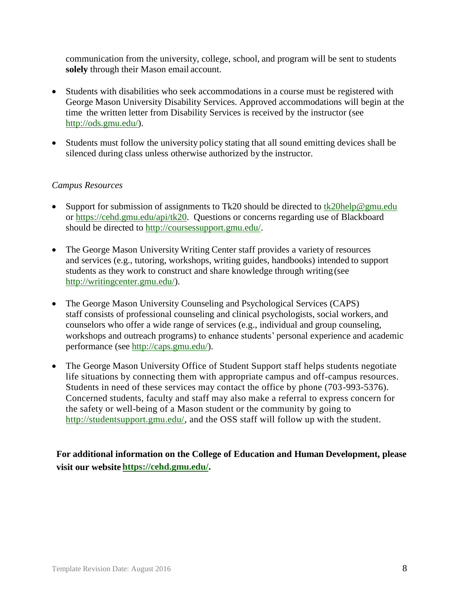communication from the university, college, school, and program will be sent to students **solely** through their Mason email account.

- Students with disabilities who seek accommodations in a course must be registered with George Mason University Disability Services. Approved accommodations will begin at the time the written letter from Disability Services is received by the instructor (see [http://ods.gmu.edu/\)](http://ods.gmu.edu/).
- Students must follow the university policy stating that all sound emitting devices shall be silenced during class unless otherwise authorized by the instructor.

### *Campus Resources*

- Support for submission of assignments to Tk20 should be directed to  $\frac{tk20\text{help@gmu.edu}}{tk20\text{help@gmu.edu}}$ or [https://cehd.gmu.edu/api/tk20.](https://cehd.gmu.edu/api/tk20) Questions or concerns regarding use of Blackboard should be directed to [http://coursessupport.gmu.edu/.](http://coursessupport.gmu.edu/)
- The George Mason University Writing Center staff provides a variety of resources and services (e.g., tutoring, workshops, writing guides, handbooks) intended to support students as they work to construct and share knowledge through writing(see [http://writingcenter.gmu.edu/\)](http://writingcenter.gmu.edu/).
- The George Mason University Counseling and Psychological Services (CAPS) staff consists of professional counseling and clinical psychologists, social workers, and counselors who offer a wide range of services (e.g., individual and group counseling, workshops and outreach programs) to enhance students' personal experience and academic performance (see [http://caps.gmu.edu/\)](http://caps.gmu.edu/).
- The George Mason University Office of Student Support staff helps students negotiate life situations by connecting them with appropriate campus and off-campus resources. Students in need of these services may contact the office by phone (703-993-5376). Concerned students, faculty and staff may also make a referral to express concern for the safety or well-being of a Mason student or the community by going to [http://studentsupport.gmu.edu/,](http://studentsupport.gmu.edu/) and the OSS staff will follow up with the student.

**For additional information on the College of Education and Human Development, please visit our website https://cehd.gmu.edu/.**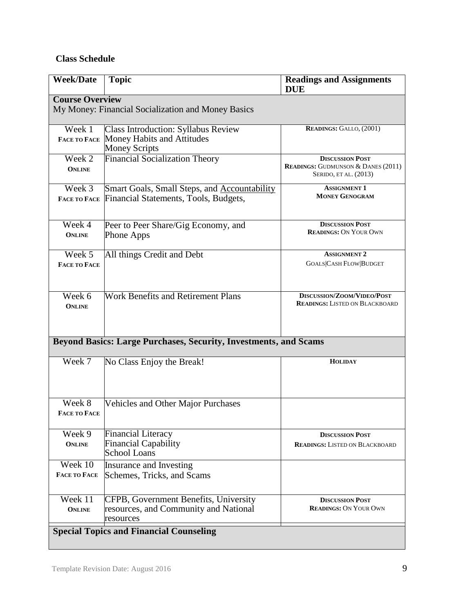# **Class Schedule**

| <b>Week/Date</b>              | <b>Topic</b>                                                            | <b>Readings and Assignments</b><br><b>DUE</b>                                                    |
|-------------------------------|-------------------------------------------------------------------------|--------------------------------------------------------------------------------------------------|
| <b>Course Overview</b>        |                                                                         |                                                                                                  |
|                               | My Money: Financial Socialization and Money Basics                      |                                                                                                  |
| Week 1                        | <b>Class Introduction: Syllabus Review</b>                              | READINGS: GALLO, (2001)                                                                          |
| <b>FACE TO FACE</b>           | Money Habits and Attitudes<br><b>Money Scripts</b>                      |                                                                                                  |
| Week 2<br><b>ONLINE</b>       | <b>Financial Socialization Theory</b>                                   | <b>DISCUSSION POST</b><br><b>READINGS: GUDMUNSON &amp; DANES (2011)</b><br>SERIDO, ET AL. (2013) |
| Week 3                        | Smart Goals, Small Steps, and <b>Accountability</b>                     | <b>ASSIGNMENT 1</b>                                                                              |
| <b>FACE TO FACE</b>           | Financial Statements, Tools, Budgets,                                   | <b>MONEY GENOGRAM</b>                                                                            |
| Week 4                        | Peer to Peer Share/Gig Economy, and                                     | <b>DISCUSSION POST</b>                                                                           |
| <b>ONLINE</b>                 | <b>Phone Apps</b>                                                       | <b>READINGS: ON YOUR OWN</b>                                                                     |
| Week 5                        | All things Credit and Debt                                              | <b>ASSIGNMENT 2</b>                                                                              |
| <b>FACE TO FACE</b>           |                                                                         | <b>GOALS CASH FLOW BUDGET</b>                                                                    |
| Week 6<br><b>ONLINE</b>       | <b>Work Benefits and Retirement Plans</b>                               | DISCUSSION/ZOOM/VIDEO/POST<br><b>READINGS: LISTED ON BLACKBOARD</b>                              |
|                               | <b>Beyond Basics: Large Purchases, Security, Investments, and Scams</b> |                                                                                                  |
| Week 7                        | No Class Enjoy the Break!                                               | <b>HOLIDAY</b>                                                                                   |
| Week 8<br><b>FACE TO FACE</b> | <b>Vehicles and Other Major Purchases</b>                               |                                                                                                  |
| Week 9                        | <b>Financial Literacy</b>                                               | <b>DISCUSSION POST</b>                                                                           |
| <b>ONLINE</b>                 | <b>Financial Capability</b><br>School Loans                             | <b>READINGS: LISTED ON BLACKBOARD</b>                                                            |
| Week 10                       | Insurance and Investing                                                 |                                                                                                  |
| <b>FACE TO FACE</b>           | Schemes, Tricks, and Scams                                              |                                                                                                  |
| Week 11                       | CFPB, Government Benefits, University                                   | <b>DISCUSSION POST</b>                                                                           |
| <b>ONLINE</b>                 | resources, and Community and National<br>resources                      | <b>READINGS: ON YOUR OWN</b>                                                                     |
|                               | <b>Special Topics and Financial Counseling</b>                          |                                                                                                  |